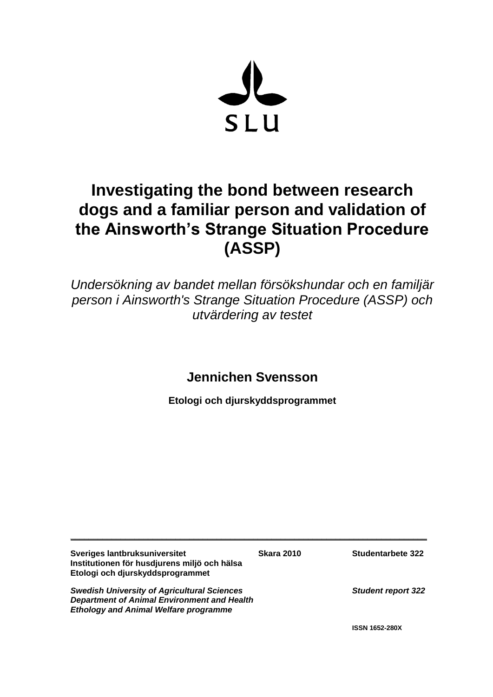

# **Investigating the bond between research dogs and a familiar person and validation of the Ainsworth's Strange Situation Procedure (ASSP)**

*Undersökning av bandet mellan försökshundar och en familjär person i Ainsworth's Strange Situation Procedure (ASSP) och utvärdering av testet*

**Jennichen Svensson**

**Etologi och djurskyddsprogrammet**

| Sveriges lantbruksuniversitet<br>Institutionen för husdjurens miljö och hälsa<br>Etologi och djurskyddsprogrammet                                        | <b>Skara 2010</b> | Studentarbete 322         |
|----------------------------------------------------------------------------------------------------------------------------------------------------------|-------------------|---------------------------|
| <b>Swedish University of Agricultural Sciences</b><br><b>Department of Animal Environment and Health</b><br><b>Ethology and Animal Welfare programme</b> |                   | <b>Student report 322</b> |
|                                                                                                                                                          |                   | <b>ISSN 1652-280X</b>     |

**\_\_\_\_\_\_\_\_\_\_\_\_\_\_\_\_\_\_\_\_\_\_\_\_\_\_\_\_\_\_\_\_\_\_\_\_\_\_\_\_\_\_\_\_\_\_\_\_\_\_\_\_\_\_\_\_\_\_\_\_\_\_\_\_\_\_\_\_\_\_\_\_\_\_\_\_\_\_**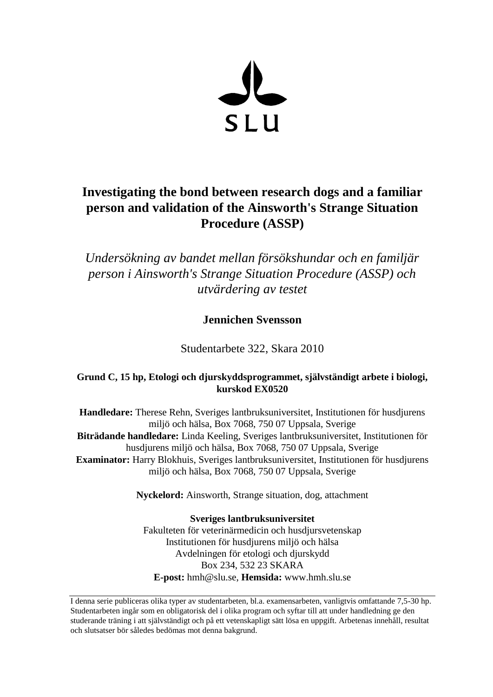

## **Investigating the bond between research dogs and a familiar person and validation of the Ainsworth's Strange Situation Procedure (ASSP)**

*Undersökning av bandet mellan försökshundar och en familjär person i Ainsworth's Strange Situation Procedure (ASSP) och utvärdering av testet*

**Jennichen Svensson** 

Studentarbete 322, Skara 2010

## **Grund C, 15 hp, Etologi och djurskyddsprogrammet, självständigt arbete i biologi, kurskod EX0520**

**Handledare:** Therese Rehn, Sveriges lantbruksuniversitet, Institutionen för husdjurens miljö och hälsa, Box 7068, 750 07 Uppsala, Sverige **Biträdande handledare:** Linda Keeling, Sveriges lantbruksuniversitet, Institutionen för husdjurens miljö och hälsa, Box 7068, 750 07 Uppsala, Sverige **Examinator:** Harry Blokhuis, Sveriges lantbruksuniversitet, Institutionen för husdjurens miljö och hälsa, Box 7068, 750 07 Uppsala, Sverige

**Nyckelord:** Ainsworth, Strange situation, dog, attachment

**Sveriges lantbruksuniversitet** Fakulteten för veterinärmedicin och husdjursvetenskap Institutionen för husdjurens miljö och hälsa Avdelningen för etologi och djurskydd Box 234, 532 23 SKARA **E-post:** hmh@slu.se, **Hemsida:** www.hmh.slu.se

I denna serie publiceras olika typer av studentarbeten, bl.a. examensarbeten, vanligtvis omfattande 7,5-30 hp. Studentarbeten ingår som en obligatorisk del i olika program och syftar till att under handledning ge den studerande träning i att självständigt och på ett vetenskapligt sätt lösa en uppgift. Arbetenas innehåll, resultat och slutsatser bör således bedömas mot denna bakgrund.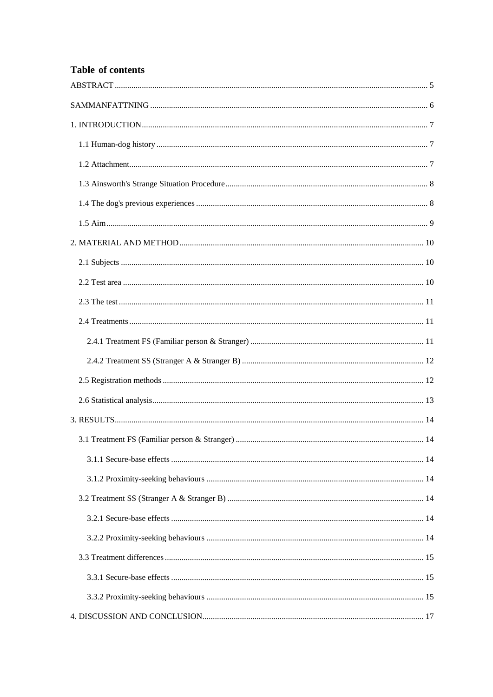## Table of contents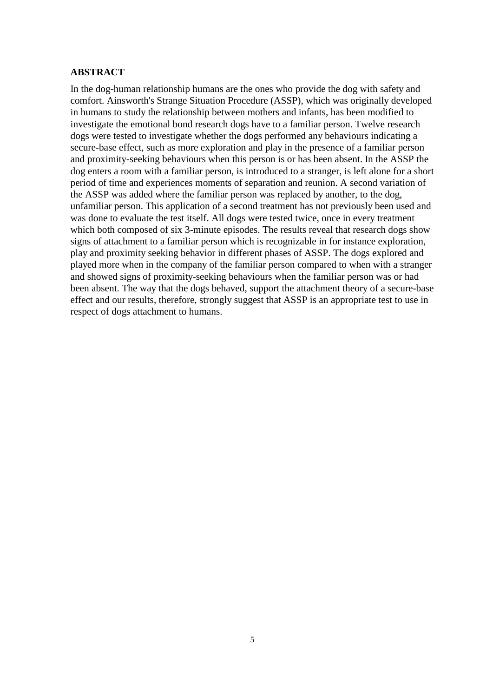## <span id="page-4-0"></span>**ABSTRACT**

In the dog-human relationship humans are the ones who provide the dog with safety and comfort. Ainsworth's Strange Situation Procedure (ASSP), which was originally developed in humans to study the relationship between mothers and infants, has been modified to investigate the emotional bond research dogs have to a familiar person. Twelve research dogs were tested to investigate whether the dogs performed any behaviours indicating a secure-base effect, such as more exploration and play in the presence of a familiar person and proximity-seeking behaviours when this person is or has been absent. In the ASSP the dog enters a room with a familiar person, is introduced to a stranger, is left alone for a short period of time and experiences moments of separation and reunion. A second variation of the ASSP was added where the familiar person was replaced by another, to the dog, unfamiliar person. This application of a second treatment has not previously been used and was done to evaluate the test itself. All dogs were tested twice, once in every treatment which both composed of six 3-minute episodes. The results reveal that research dogs show signs of attachment to a familiar person which is recognizable in for instance exploration, play and proximity seeking behavior in different phases of ASSP. The dogs explored and played more when in the company of the familiar person compared to when with a stranger and showed signs of proximity-seeking behaviours when the familiar person was or had been absent. The way that the dogs behaved, support the attachment theory of a secure-base effect and our results, therefore, strongly suggest that ASSP is an appropriate test to use in respect of dogs attachment to humans.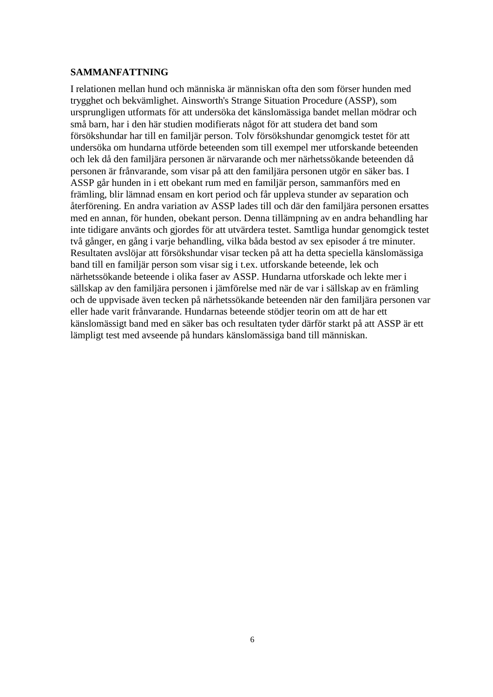#### <span id="page-5-0"></span>**SAMMANFATTNING**

I relationen mellan hund och människa är människan ofta den som förser hunden med trygghet och bekvämlighet. Ainsworth's Strange Situation Procedure (ASSP), som ursprungligen utformats för att undersöka det känslomässiga bandet mellan mödrar och små barn, har i den här studien modifierats något för att studera det band som försökshundar har till en familjär person. Tolv försökshundar genomgick testet för att undersöka om hundarna utförde beteenden som till exempel mer utforskande beteenden och lek då den familjära personen är närvarande och mer närhetssökande beteenden då personen är frånvarande, som visar på att den familjära personen utgör en säker bas. I ASSP går hunden in i ett obekant rum med en familjär person, sammanförs med en främling, blir lämnad ensam en kort period och får uppleva stunder av separation och återförening. En andra variation av ASSP lades till och där den familjära personen ersattes med en annan, för hunden, obekant person. Denna tillämpning av en andra behandling har inte tidigare använts och gjordes för att utvärdera testet. Samtliga hundar genomgick testet två gånger, en gång i varje behandling, vilka båda bestod av sex episoder á tre minuter. Resultaten avslöjar att försökshundar visar tecken på att ha detta speciella känslomässiga band till en familjär person som visar sig i t.ex. utforskande beteende, lek och närhetssökande beteende i olika faser av ASSP. Hundarna utforskade och lekte mer i sällskap av den familjära personen i jämförelse med när de var i sällskap av en främling och de uppvisade även tecken på närhetssökande beteenden när den familjära personen var eller hade varit frånvarande. Hundarnas beteende stödjer teorin om att de har ett känslomässigt band med en säker bas och resultaten tyder därför starkt på att ASSP är ett lämpligt test med avseende på hundars känslomässiga band till människan.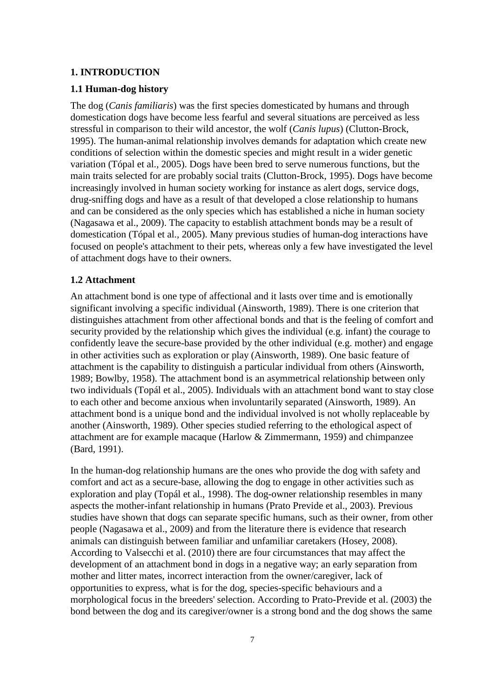#### <span id="page-6-0"></span>**1. INTRODUCTION**

## <span id="page-6-1"></span>**1.1 Human-dog history**

The dog (*Canis familiaris*) was the first species domesticated by humans and through domestication dogs have become less fearful and several situations are perceived as less stressful in comparison to their wild ancestor, the wolf (*Canis lupus*) (Clutton-Brock, 1995). The human-animal relationship involves demands for adaptation which create new conditions of selection within the domestic species and might result in a wider genetic variation (Tópal et al., 2005). Dogs have been bred to serve numerous functions, but the main traits selected for are probably social traits (Clutton-Brock, 1995). Dogs have become increasingly involved in human society working for instance as alert dogs, service dogs, drug-sniffing dogs and have as a result of that developed a close relationship to humans and can be considered as the only species which has established a niche in human society (Nagasawa et al., 2009). The capacity to establish attachment bonds may be a result of domestication (Tópal et al., 2005). Many previous studies of human-dog interactions have focused on people's attachment to their pets, whereas only a few have investigated the level of attachment dogs have to their owners.

### <span id="page-6-2"></span>**1.2 Attachment**

An attachment bond is one type of affectional and it lasts over time and is emotionally significant involving a specific individual (Ainsworth, 1989). There is one criterion that distinguishes attachment from other affectional bonds and that is the feeling of comfort and security provided by the relationship which gives the individual (e.g. infant) the courage to confidently leave the secure-base provided by the other individual (e.g. mother) and engage in other activities such as exploration or play (Ainsworth, 1989). One basic feature of attachment is the capability to distinguish a particular individual from others (Ainsworth, 1989; Bowlby, 1958). The attachment bond is an asymmetrical relationship between only two individuals (Topál et al., 2005). Individuals with an attachment bond want to stay close to each other and become anxious when involuntarily separated (Ainsworth, 1989). An attachment bond is a unique bond and the individual involved is not wholly replaceable by another (Ainsworth, 1989). Other species studied referring to the ethological aspect of attachment are for example macaque (Harlow & Zimmermann, 1959) and chimpanzee (Bard, 1991).

In the human-dog relationship humans are the ones who provide the dog with safety and comfort and act as a secure-base, allowing the dog to engage in other activities such as exploration and play (Topál et al., 1998). The dog-owner relationship resembles in many aspects the mother-infant relationship in humans (Prato Previde et al., 2003). Previous studies have shown that dogs can separate specific humans, such as their owner, from other people (Nagasawa et al., 2009) and from the literature there is evidence that research animals can distinguish between familiar and unfamiliar caretakers (Hosey, 2008). According to Valsecchi et al. (2010) there are four circumstances that may affect the development of an attachment bond in dogs in a negative way; an early separation from mother and litter mates, incorrect interaction from the owner/caregiver, lack of opportunities to express, what is for the dog, species-specific behaviours and a morphological focus in the breeders' selection. According to Prato-Previde et al. (2003) the bond between the dog and its caregiver/owner is a strong bond and the dog shows the same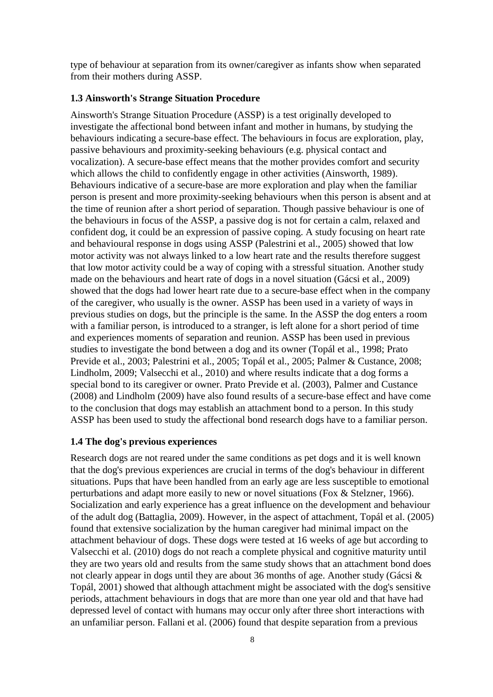type of behaviour at separation from its owner/caregiver as infants show when separated from their mothers during ASSP.

#### <span id="page-7-0"></span>**1.3 Ainsworth's Strange Situation Procedure**

Ainsworth's Strange Situation Procedure (ASSP) is a test originally developed to investigate the affectional bond between infant and mother in humans, by studying the behaviours indicating a secure-base effect. The behaviours in focus are exploration, play, passive behaviours and proximity-seeking behaviours (e.g. physical contact and vocalization). A secure-base effect means that the mother provides comfort and security which allows the child to confidently engage in other activities (Ainsworth, 1989). Behaviours indicative of a secure-base are more exploration and play when the familiar person is present and more proximity-seeking behaviours when this person is absent and at the time of reunion after a short period of separation. Though passive behaviour is one of the behaviours in focus of the ASSP, a passive dog is not for certain a calm, relaxed and confident dog, it could be an expression of passive coping. A study focusing on heart rate and behavioural response in dogs using ASSP (Palestrini et al., 2005) showed that low motor activity was not always linked to a low heart rate and the results therefore suggest that low motor activity could be a way of coping with a stressful situation. Another study made on the behaviours and heart rate of dogs in a novel situation (Gácsi et al., 2009) showed that the dogs had lower heart rate due to a secure-base effect when in the company of the caregiver, who usually is the owner. ASSP has been used in a variety of ways in previous studies on dogs, but the principle is the same. In the ASSP the dog enters a room with a familiar person, is introduced to a stranger, is left alone for a short period of time and experiences moments of separation and reunion. ASSP has been used in previous studies to investigate the bond between a dog and its owner (Topál et al., 1998; Prato Previde et al., 2003; Palestrini et al., 2005; Topál et al., 2005; Palmer & Custance, 2008; Lindholm, 2009; Valsecchi et al., 2010) and where results indicate that a dog forms a special bond to its caregiver or owner. Prato Previde et al. (2003), Palmer and Custance (2008) and Lindholm (2009) have also found results of a secure-base effect and have come to the conclusion that dogs may establish an attachment bond to a person. In this study ASSP has been used to study the affectional bond research dogs have to a familiar person.

#### <span id="page-7-1"></span>**1.4 The dog's previous experiences**

Research dogs are not reared under the same conditions as pet dogs and it is well known that the dog's previous experiences are crucial in terms of the dog's behaviour in different situations. Pups that have been handled from an early age are less susceptible to emotional perturbations and adapt more easily to new or novel situations (Fox & Stelzner, 1966). Socialization and early experience has a great influence on the development and behaviour of the adult dog (Battaglia, 2009). However, in the aspect of attachment, Topál et al. (2005) found that extensive socialization by the human caregiver had minimal impact on the attachment behaviour of dogs. These dogs were tested at 16 weeks of age but according to Valsecchi et al. (2010) dogs do not reach a complete physical and cognitive maturity until they are two years old and results from the same study shows that an attachment bond does not clearly appear in dogs until they are about 36 months of age. Another study (Gácsi & Topál, 2001) showed that although attachment might be associated with the dog's sensitive periods, attachment behaviours in dogs that are more than one year old and that have had depressed level of contact with humans may occur only after three short interactions with an unfamiliar person. Fallani et al. (2006) found that despite separation from a previous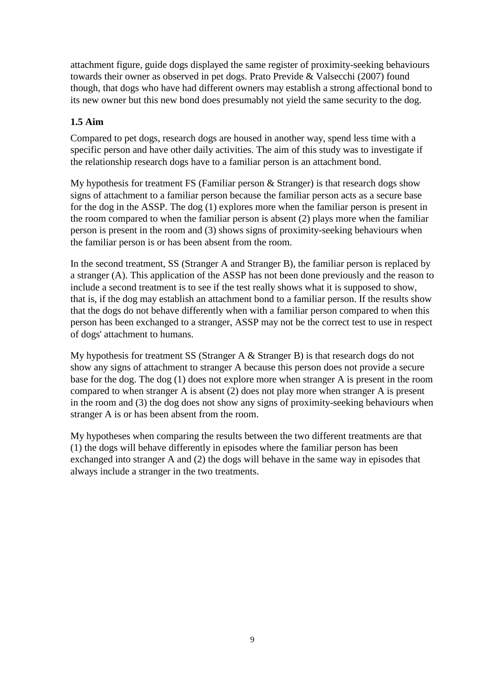attachment figure, guide dogs displayed the same register of proximity-seeking behaviours towards their owner as observed in pet dogs. Prato Previde & Valsecchi (2007) found though, that dogs who have had different owners may establish a strong affectional bond to its new owner but this new bond does presumably not yield the same security to the dog.

## <span id="page-8-0"></span>**1.5 Aim**

Compared to pet dogs, research dogs are housed in another way, spend less time with a specific person and have other daily activities. The aim of this study was to investigate if the relationship research dogs have to a familiar person is an attachment bond.

My hypothesis for treatment FS (Familiar person & Stranger) is that research dogs show signs of attachment to a familiar person because the familiar person acts as a secure base for the dog in the ASSP. The dog (1) explores more when the familiar person is present in the room compared to when the familiar person is absent (2) plays more when the familiar person is present in the room and (3) shows signs of proximity-seeking behaviours when the familiar person is or has been absent from the room.

In the second treatment, SS (Stranger A and Stranger B), the familiar person is replaced by a stranger (A). This application of the ASSP has not been done previously and the reason to include a second treatment is to see if the test really shows what it is supposed to show, that is, if the dog may establish an attachment bond to a familiar person. If the results show that the dogs do not behave differently when with a familiar person compared to when this person has been exchanged to a stranger, ASSP may not be the correct test to use in respect of dogs' attachment to humans.

My hypothesis for treatment SS (Stranger A & Stranger B) is that research dogs do not show any signs of attachment to stranger A because this person does not provide a secure base for the dog. The dog (1) does not explore more when stranger A is present in the room compared to when stranger A is absent (2) does not play more when stranger A is present in the room and (3) the dog does not show any signs of proximity-seeking behaviours when stranger A is or has been absent from the room.

My hypotheses when comparing the results between the two different treatments are that (1) the dogs will behave differently in episodes where the familiar person has been exchanged into stranger A and (2) the dogs will behave in the same way in episodes that always include a stranger in the two treatments.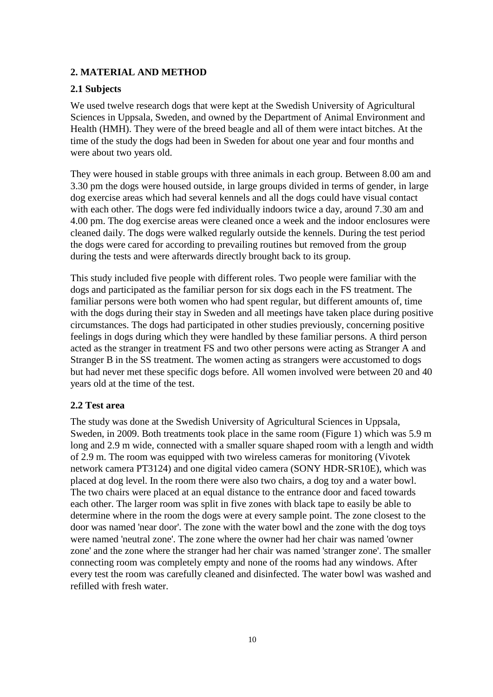## <span id="page-9-0"></span>**2. MATERIAL AND METHOD**

## <span id="page-9-1"></span>**2.1 Subjects**

We used twelve research dogs that were kept at the Swedish University of Agricultural Sciences in Uppsala, Sweden, and owned by the Department of Animal Environment and Health (HMH). They were of the breed beagle and all of them were intact bitches. At the time of the study the dogs had been in Sweden for about one year and four months and were about two years old.

They were housed in stable groups with three animals in each group. Between 8.00 am and 3.30 pm the dogs were housed outside, in large groups divided in terms of gender, in large dog exercise areas which had several kennels and all the dogs could have visual contact with each other. The dogs were fed individually indoors twice a day, around 7.30 am and 4.00 pm. The dog exercise areas were cleaned once a week and the indoor enclosures were cleaned daily. The dogs were walked regularly outside the kennels. During the test period the dogs were cared for according to prevailing routines but removed from the group during the tests and were afterwards directly brought back to its group.

This study included five people with different roles. Two people were familiar with the dogs and participated as the familiar person for six dogs each in the FS treatment. The familiar persons were both women who had spent regular, but different amounts of, time with the dogs during their stay in Sweden and all meetings have taken place during positive circumstances. The dogs had participated in other studies previously, concerning positive feelings in dogs during which they were handled by these familiar persons. A third person acted as the stranger in treatment FS and two other persons were acting as Stranger A and Stranger B in the SS treatment. The women acting as strangers were accustomed to dogs but had never met these specific dogs before. All women involved were between 20 and 40 years old at the time of the test.

#### <span id="page-9-2"></span>**2.2 Test area**

The study was done at the Swedish University of Agricultural Sciences in Uppsala, Sweden, in 2009. Both treatments took place in the same room (Figure 1) which was 5.9 m long and 2.9 m wide, connected with a smaller square shaped room with a length and width of 2.9 m. The room was equipped with two wireless cameras for monitoring (Vivotek network camera PT3124) and one digital video camera (SONY HDR-SR10E), which was placed at dog level. In the room there were also two chairs, a dog toy and a water bowl. The two chairs were placed at an equal distance to the entrance door and faced towards each other. The larger room was split in five zones with black tape to easily be able to determine where in the room the dogs were at every sample point. The zone closest to the door was named 'near door'. The zone with the water bowl and the zone with the dog toys were named 'neutral zone'. The zone where the owner had her chair was named 'owner zone' and the zone where the stranger had her chair was named 'stranger zone'. The smaller connecting room was completely empty and none of the rooms had any windows. After every test the room was carefully cleaned and disinfected. The water bowl was washed and refilled with fresh water.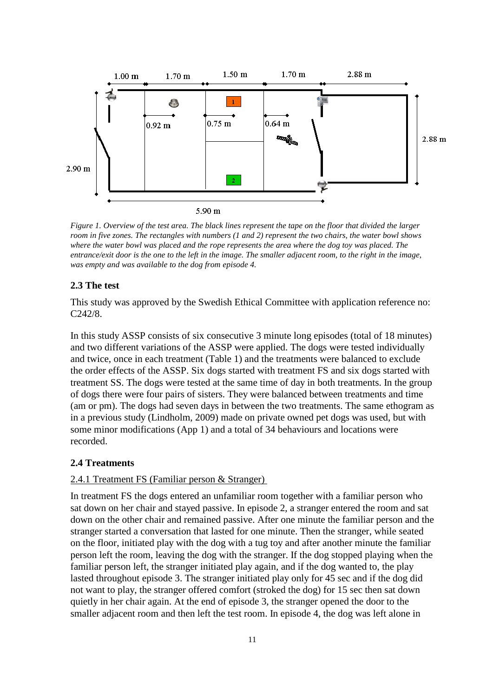

*Figure 1. Overview of the test area. The black lines represent the tape on the floor that divided the larger room in five zones. The rectangles with numbers (1 and 2) represent the two chairs, the water bowl shows where the water bowl was placed and the rope represents the area where the dog toy was placed. The entrance/exit door is the one to the left in the image. The smaller adjacent room, to the right in the image, was empty and was available to the dog from episode 4.*

## <span id="page-10-0"></span>**2.3 The test**

This study was approved by the Swedish Ethical Committee with application reference no: C242/8.

In this study ASSP consists of six consecutive 3 minute long episodes (total of 18 minutes) and two different variations of the ASSP were applied. The dogs were tested individually and twice, once in each treatment (Table 1) and the treatments were balanced to exclude the order effects of the ASSP. Six dogs started with treatment FS and six dogs started with treatment SS. The dogs were tested at the same time of day in both treatments. In the group of dogs there were four pairs of sisters. They were balanced between treatments and time (am or pm). The dogs had seven days in between the two treatments. The same ethogram as in a previous study (Lindholm, 2009) made on private owned pet dogs was used, but with some minor modifications (App 1) and a total of 34 behaviours and locations were recorded.

### <span id="page-10-1"></span>**2.4 Treatments**

#### <span id="page-10-2"></span>2.4.1 Treatment FS (Familiar person & Stranger)

In treatment FS the dogs entered an unfamiliar room together with a familiar person who sat down on her chair and stayed passive. In episode 2, a stranger entered the room and sat down on the other chair and remained passive. After one minute the familiar person and the stranger started a conversation that lasted for one minute. Then the stranger, while seated on the floor, initiated play with the dog with a tug toy and after another minute the familiar person left the room, leaving the dog with the stranger. If the dog stopped playing when the familiar person left, the stranger initiated play again, and if the dog wanted to, the play lasted throughout episode 3. The stranger initiated play only for 45 sec and if the dog did not want to play, the stranger offered comfort (stroked the dog) for 15 sec then sat down quietly in her chair again. At the end of episode 3, the stranger opened the door to the smaller adjacent room and then left the test room. In episode 4, the dog was left alone in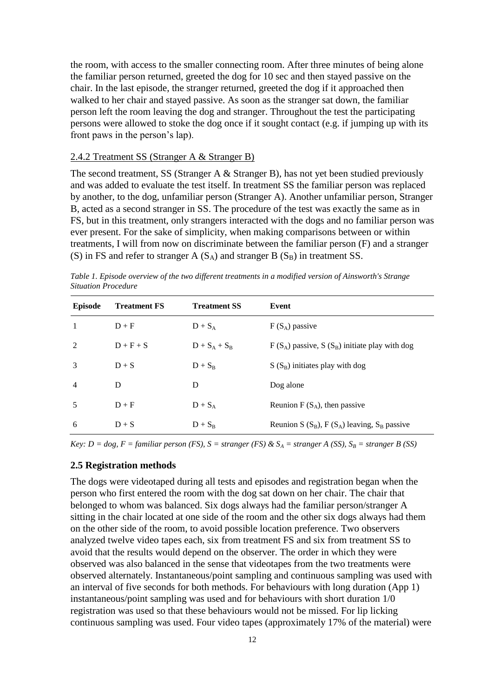the room, with access to the smaller connecting room. After three minutes of being alone the familiar person returned, greeted the dog for 10 sec and then stayed passive on the chair. In the last episode, the stranger returned, greeted the dog if it approached then walked to her chair and stayed passive. As soon as the stranger sat down, the familiar person left the room leaving the dog and stranger. Throughout the test the participating persons were allowed to stoke the dog once if it sought contact (e.g. if jumping up with its front paws in the person's lap).

## <span id="page-11-0"></span>2.4.2 Treatment SS (Stranger A & Stranger B)

The second treatment, SS (Stranger A & Stranger B), has not yet been studied previously and was added to evaluate the test itself. In treatment SS the familiar person was replaced by another, to the dog, unfamiliar person (Stranger A). Another unfamiliar person, Stranger B, acted as a second stranger in SS. The procedure of the test was exactly the same as in FS, but in this treatment, only strangers interacted with the dogs and no familiar person was ever present. For the sake of simplicity, when making comparisons between or within treatments, I will from now on discriminate between the familiar person (F) and a stranger (S) in FS and refer to stranger A  $(S_A)$  and stranger B  $(S_B)$  in treatment SS.

| Situation Procedure |                     |                     |                                                   |  |
|---------------------|---------------------|---------------------|---------------------------------------------------|--|
| <b>Episode</b>      | <b>Treatment FS</b> | <b>Treatment SS</b> | Event                                             |  |
| 1                   | $D + F$             | $D + S_A$           | $F(S_A)$ passive                                  |  |
| 2                   | $D + F + S$         | $D + S_A + S_B$     | $F(S_A)$ passive, $S(S_B)$ initiate play with dog |  |
| 3                   | $D + S$             | $D + S_B$           | $S(S_B)$ initiates play with dog                  |  |
| $\overline{4}$      | D                   | D                   | Dog alone                                         |  |
| 5                   | $D + F$             | $D + S_A$           | Reunion $F(S_A)$ , then passive                   |  |
|                     |                     |                     |                                                   |  |

*Table 1. Episode overview of the two different treatments in a modified version of Ainsworth's Strange Situation Procedure*

*Key: D = dog, F = familiar person (FS), S = stranger (FS) &*  $S_A$  *= stranger A (SS),*  $S_B$  *= stranger B (SS)* 

6  $D + S$   $D + S_B$  Reunion S (S<sub>B</sub>), F (S<sub>A</sub>) leaving, S<sub>B</sub> passive

## <span id="page-11-1"></span>**2.5 Registration methods**

The dogs were videotaped during all tests and episodes and registration began when the person who first entered the room with the dog sat down on her chair. The chair that belonged to whom was balanced. Six dogs always had the familiar person/stranger A sitting in the chair located at one side of the room and the other six dogs always had them on the other side of the room, to avoid possible location preference. Two observers analyzed twelve video tapes each, six from treatment FS and six from treatment SS to avoid that the results would depend on the observer. The order in which they were observed was also balanced in the sense that videotapes from the two treatments were observed alternately. Instantaneous/point sampling and continuous sampling was used with an interval of five seconds for both methods. For behaviours with long duration (App 1) instantaneous/point sampling was used and for behaviours with short duration 1/0 registration was used so that these behaviours would not be missed. For lip licking continuous sampling was used. Four video tapes (approximately 17% of the material) were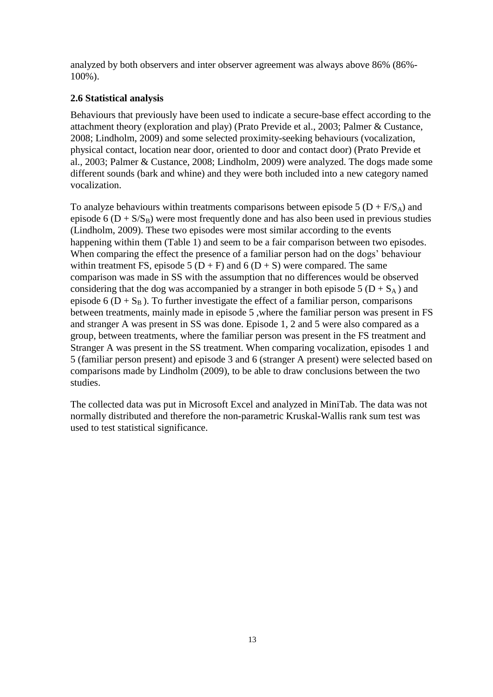analyzed by both observers and inter observer agreement was always above 86% (86%- 100%).

## <span id="page-12-0"></span>**2.6 Statistical analysis**

Behaviours that previously have been used to indicate a secure-base effect according to the attachment theory (exploration and play) (Prato Previde et al., 2003; Palmer & Custance, 2008; Lindholm, 2009) and some selected proximity-seeking behaviours (vocalization, physical contact, location near door, oriented to door and contact door) (Prato Previde et al., 2003; Palmer & Custance, 2008; Lindholm, 2009) were analyzed. The dogs made some different sounds (bark and whine) and they were both included into a new category named vocalization.

To analyze behaviours within treatments comparisons between episode 5 ( $D + F/S_A$ ) and episode 6  $(D + S/S_B)$  were most frequently done and has also been used in previous studies (Lindholm, 2009). These two episodes were most similar according to the events happening within them (Table 1) and seem to be a fair comparison between two episodes. When comparing the effect the presence of a familiar person had on the dogs' behaviour within treatment FS, episode 5 ( $D + F$ ) and 6 ( $D + S$ ) were compared. The same comparison was made in SS with the assumption that no differences would be observed considering that the dog was accompanied by a stranger in both episode 5 ( $D + S_A$ ) and episode 6 ( $D + S_B$ ). To further investigate the effect of a familiar person, comparisons between treatments, mainly made in episode 5 ,where the familiar person was present in FS and stranger A was present in SS was done. Episode 1, 2 and 5 were also compared as a group, between treatments, where the familiar person was present in the FS treatment and Stranger A was present in the SS treatment. When comparing vocalization, episodes 1 and 5 (familiar person present) and episode 3 and 6 (stranger A present) were selected based on comparisons made by Lindholm (2009), to be able to draw conclusions between the two studies.

The collected data was put in Microsoft Excel and analyzed in MiniTab. The data was not normally distributed and therefore the non-parametric Kruskal-Wallis rank sum test was used to test statistical significance.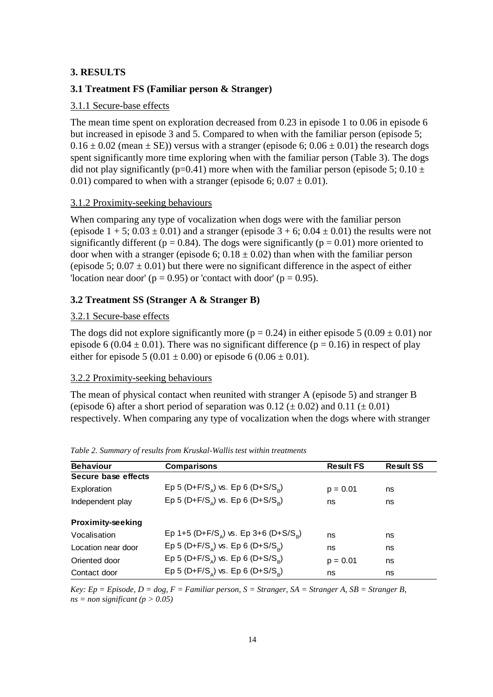## <span id="page-13-0"></span>**3. RESULTS**

## <span id="page-13-1"></span>**3.1 Treatment FS (Familiar person & Stranger)**

## <span id="page-13-2"></span>3.1.1 Secure-base effects

The mean time spent on exploration decreased from 0.23 in episode 1 to 0.06 in episode 6 but increased in episode 3 and 5. Compared to when with the familiar person (episode 5;  $0.16 \pm 0.02$  (mean  $\pm$  SE)) versus with a stranger (episode 6;  $0.06 \pm 0.01$ ) the research dogs spent significantly more time exploring when with the familiar person (Table 3). The dogs did not play significantly (p=0.41) more when with the familiar person (episode 5; 0.10  $\pm$ 0.01) compared to when with a stranger (episode 6;  $0.07 \pm 0.01$ ).

## <span id="page-13-3"></span>3.1.2 Proximity-seeking behaviours

When comparing any type of vocalization when dogs were with the familiar person (episode  $1 + 5$ ;  $0.03 \pm 0.01$ ) and a stranger (episode  $3 + 6$ ;  $0.04 \pm 0.01$ ) the results were not significantly different ( $p = 0.84$ ). The dogs were significantly ( $p = 0.01$ ) more oriented to door when with a stranger (episode 6;  $0.18 \pm 0.02$ ) than when with the familiar person (episode 5;  $0.07 \pm 0.01$ ) but there were no significant difference in the aspect of either 'location near door' ( $p = 0.95$ ) or 'contact with door' ( $p = 0.95$ ).

## <span id="page-13-4"></span>**3.2 Treatment SS (Stranger A & Stranger B)**

#### <span id="page-13-5"></span>3.2.1 Secure-base effects

The dogs did not explore significantly more ( $p = 0.24$ ) in either episode 5 (0.09  $\pm$  0.01) nor episode 6 (0.04  $\pm$  0.01). There was no significant difference (p = 0.16) in respect of play either for episode 5 (0.01  $\pm$  0.00) or episode 6 (0.06  $\pm$  0.01).

#### <span id="page-13-6"></span>3.2.2 Proximity-seeking behaviours

The mean of physical contact when reunited with stranger A (episode 5) and stranger B (episode 6) after a short period of separation was  $0.12 (\pm 0.02)$  and  $0.11 (\pm 0.01)$ respectively. When comparing any type of vocalization when the dogs where with stranger

| <b>Behaviour</b>         | Comparisons                                 | <b>Result FS</b> | <b>Result SS</b> |
|--------------------------|---------------------------------------------|------------------|------------------|
| Secure base effects      |                                             |                  |                  |
| Exploration              | Ep 5 (D+F/S) vs. Ep 6 (D+S/S)               | $p = 0.01$       | ns               |
| Independent play         | Ep 5 (D+F/S) vs. Ep 6 (D+S/S)               | ns               | ns               |
| <b>Proximity-seeking</b> |                                             |                  |                  |
| Vocalisation             | Ep 1+5 (D+F/S) vs. Ep 3+6 (D+S/S)           | ns               | ns               |
| Location near door       | Ep 5 (D+F/S) vs. Ep 6 (D+S/S <sub>a</sub> ) | ns               | ns               |
| Oriented door            | Ep 5 (D+F/S) vs. Ep 6 (D+S/S)               | $p = 0.01$       | ns               |
| Contact door             | Ep 5 (D+F/S) vs. Ep 6 (D+S/S)               | ns               | ns               |

*Table 2. Summary of results from Kruskal-Wallis test within treatments*

*Key: Ep = Episode, D = dog, F = Familiar person, S = Stranger, SA = Stranger A, SB = Stranger B,*   $ns = non significant (p > 0.05)$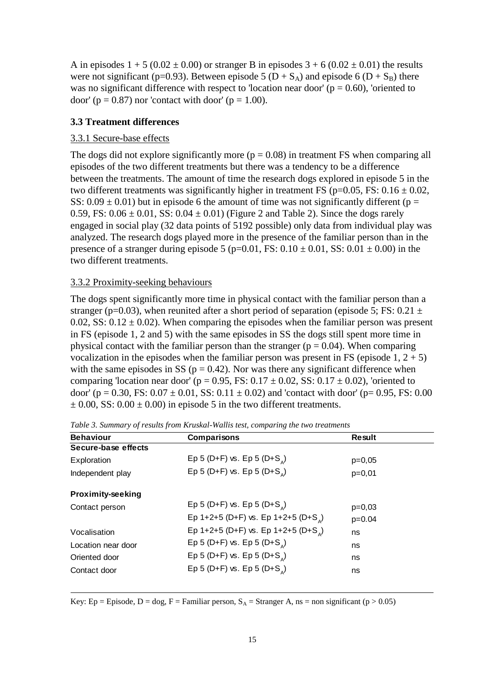A in episodes  $1 + 5 (0.02 \pm 0.00)$  or stranger B in episodes  $3 + 6 (0.02 \pm 0.01)$  the results were not significant (p=0.93). Between episode 5 (D +  $S_A$ ) and episode 6 (D +  $S_B$ ) there was no significant difference with respect to 'location near door' ( $p = 0.60$ ), 'oriented to door' ( $p = 0.87$ ) nor 'contact with door' ( $p = 1.00$ ).

#### <span id="page-14-0"></span>**3.3 Treatment differences**

#### <span id="page-14-1"></span>3.3.1 Secure-base effects

The dogs did not explore significantly more  $(p = 0.08)$  in treatment FS when comparing all episodes of the two different treatments but there was a tendency to be a difference between the treatments. The amount of time the research dogs explored in episode 5 in the two different treatments was significantly higher in treatment FS ( $p=0.05$ , FS:  $0.16 \pm 0.02$ , SS:  $0.09 \pm 0.01$ ) but in episode 6 the amount of time was not significantly different (p = 0.59, FS:  $0.06 \pm 0.01$ , SS:  $0.04 \pm 0.01$ ) (Figure 2 and Table 2). Since the dogs rarely engaged in social play (32 data points of 5192 possible) only data from individual play was analyzed. The research dogs played more in the presence of the familiar person than in the presence of a stranger during episode 5 (p=0.01, FS:  $0.10 \pm 0.01$ , SS:  $0.01 \pm 0.00$ ) in the two different treatments.

#### <span id="page-14-2"></span>3.3.2 Proximity-seeking behaviours

The dogs spent significantly more time in physical contact with the familiar person than a stranger (p=0.03), when reunited after a short period of separation (episode 5; FS:  $0.21 \pm$ 0.02, SS:  $0.12 \pm 0.02$ ). When comparing the episodes when the familiar person was present in FS (episode 1, 2 and 5) with the same episodes in SS the dogs still spent more time in physical contact with the familiar person than the stranger ( $p = 0.04$ ). When comparing vocalization in the episodes when the familiar person was present in FS (episode  $1, 2 + 5$ ) with the same episodes in SS ( $p = 0.42$ ). Nor was there any significant difference when comparing 'location near door' (p = 0.95, FS:  $0.17 \pm 0.02$ , SS:  $0.17 \pm 0.02$ ), 'oriented to door' (p = 0.30, FS:  $0.07 \pm 0.01$ , SS:  $0.11 \pm 0.02$ ) and 'contact with door' (p= 0.95, FS: 0.00  $\pm$  0.00, SS: 0.00  $\pm$  0.00) in episode 5 in the two different treatments.

| <b>Behaviour</b>         | Comparisons                                                                                          | <b>Result</b> |
|--------------------------|------------------------------------------------------------------------------------------------------|---------------|
| Secure-base effects      |                                                                                                      |               |
| Exploration              | Ep 5 (D+F) vs. Ep 5 (D+S)                                                                            | $p=0,05$      |
| Independent play         | Ep 5 (D+F) vs. Ep 5 (D+S)                                                                            | $p=0,01$      |
| <b>Proximity-seeking</b> |                                                                                                      |               |
| Contact person           | Ep 5 (D+F) vs. Ep 5 (D+S <sub><math>_{\text{A}}</math></sub> )                                       | $p=0,03$      |
|                          | Ep 1+2+5 (D+F) vs. Ep 1+2+5 (D+S <sub><math>_{\alpha}</math></sub> )                                 | $p=0.04$      |
| Vocalisation             | Ep 1+2+5 (D+F) vs. Ep 1+2+5 (D+S <sub><math>_{\alpha}</math></sub> )                                 | ns            |
| Location near door       | Ep 5 (D+F) vs. Ep 5 (D+S)                                                                            | ns            |
| Oriented door            | Ep 5 (D+F) vs. Ep 5 (D+S)                                                                            | ns            |
| Contact door             | Ep 5 (D+F) vs. Ep 5 (D+S)                                                                            | ns            |
|                          | Key: Ep = Episode, D = dog, F = Familiar person, $S_A$ = Stranger A, ns = non significant (p > 0.05) |               |
|                          |                                                                                                      |               |
|                          | 15                                                                                                   |               |

*Table 3. Summary of results from Kruskal-Wallis test, comparing the two treatments*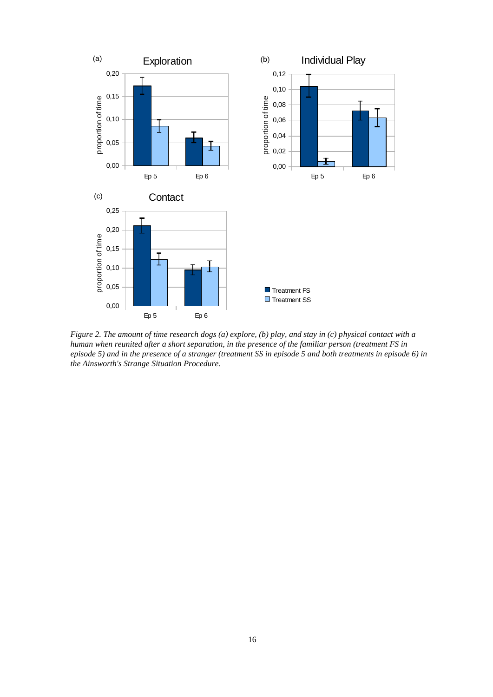

*Figure 2. The amount of time research dogs (a) explore, (b) play, and stay in (c) physical contact with a human when reunited after a short separation, in the presence of the familiar person (treatment FS in episode 5) and in the presence of a stranger (treatment SS in episode 5 and both treatments in episode 6) in the Ainsworth's Strange Situation Procedure.*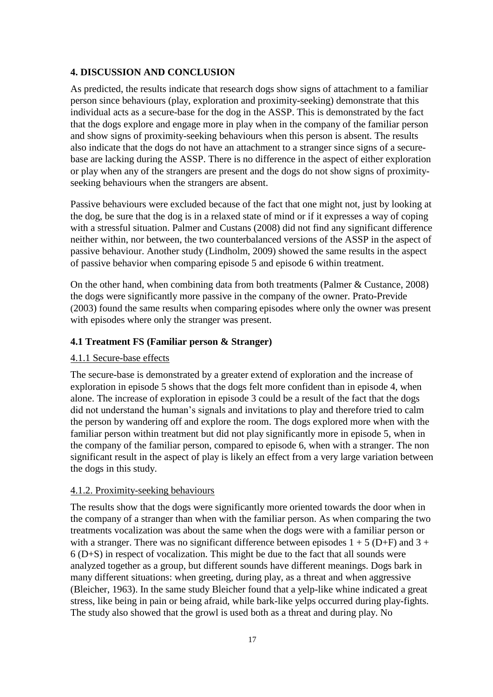#### <span id="page-16-0"></span>**4. DISCUSSION AND CONCLUSION**

As predicted, the results indicate that research dogs show signs of attachment to a familiar person since behaviours (play, exploration and proximity-seeking) demonstrate that this individual acts as a secure-base for the dog in the ASSP. This is demonstrated by the fact that the dogs explore and engage more in play when in the company of the familiar person and show signs of proximity-seeking behaviours when this person is absent. The results also indicate that the dogs do not have an attachment to a stranger since signs of a securebase are lacking during the ASSP. There is no difference in the aspect of either exploration or play when any of the strangers are present and the dogs do not show signs of proximityseeking behaviours when the strangers are absent.

Passive behaviours were excluded because of the fact that one might not, just by looking at the dog, be sure that the dog is in a relaxed state of mind or if it expresses a way of coping with a stressful situation. Palmer and Custans (2008) did not find any significant difference neither within, nor between, the two counterbalanced versions of the ASSP in the aspect of passive behaviour. Another study (Lindholm, 2009) showed the same results in the aspect of passive behavior when comparing episode 5 and episode 6 within treatment.

On the other hand, when combining data from both treatments (Palmer & Custance, 2008) the dogs were significantly more passive in the company of the owner. Prato-Previde (2003) found the same results when comparing episodes where only the owner was present with episodes where only the stranger was present.

## <span id="page-16-1"></span>**4.1 Treatment FS (Familiar person & Stranger)**

#### <span id="page-16-2"></span>4.1.1 Secure-base effects

The secure-base is demonstrated by a greater extend of exploration and the increase of exploration in episode 5 shows that the dogs felt more confident than in episode 4, when alone. The increase of exploration in episode 3 could be a result of the fact that the dogs did not understand the human's signals and invitations to play and therefore tried to calm the person by wandering off and explore the room. The dogs explored more when with the familiar person within treatment but did not play significantly more in episode 5, when in the company of the familiar person, compared to episode 6, when with a stranger. The non significant result in the aspect of play is likely an effect from a very large variation between the dogs in this study.

#### <span id="page-16-3"></span>4.1.2. Proximity-seeking behaviours

The results show that the dogs were significantly more oriented towards the door when in the company of a stranger than when with the familiar person. As when comparing the two treatments vocalization was about the same when the dogs were with a familiar person or with a stranger. There was no significant difference between episodes  $1 + 5$  (D+F) and  $3 +$ 6 (D+S) in respect of vocalization. This might be due to the fact that all sounds were analyzed together as a group, but different sounds have different meanings. Dogs bark in many different situations: when greeting, during play, as a threat and when aggressive (Bleicher, 1963). In the same study Bleicher found that a yelp-like whine indicated a great stress, like being in pain or being afraid, while bark-like yelps occurred during play-fights. The study also showed that the growl is used both as a threat and during play. No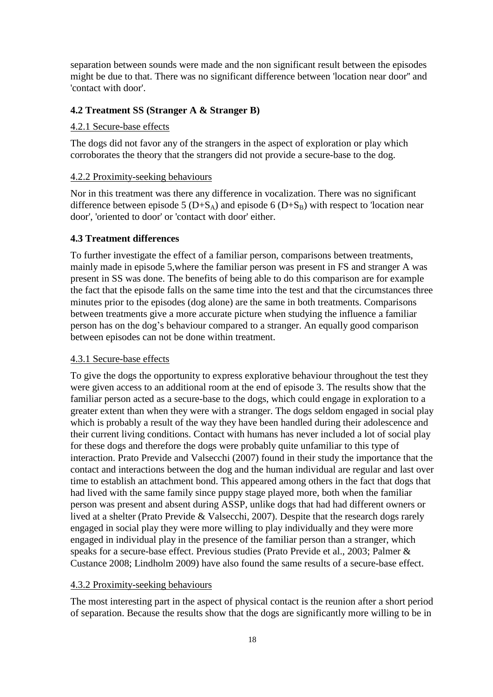separation between sounds were made and the non significant result between the episodes might be due to that. There was no significant difference between 'location near door'' and 'contact with door'.

#### <span id="page-17-0"></span>**4.2 Treatment SS (Stranger A & Stranger B)**

## <span id="page-17-1"></span>4.2.1 Secure-base effects

The dogs did not favor any of the strangers in the aspect of exploration or play which corroborates the theory that the strangers did not provide a secure-base to the dog.

## <span id="page-17-2"></span>4.2.2 Proximity-seeking behaviours

Nor in this treatment was there any difference in vocalization. There was no significant difference between episode 5 ( $D+S_A$ ) and episode 6 ( $D+S_B$ ) with respect to 'location near door', 'oriented to door' or 'contact with door' either.

## <span id="page-17-3"></span>**4.3 Treatment differences**

To further investigate the effect of a familiar person, comparisons between treatments, mainly made in episode 5,where the familiar person was present in FS and stranger A was present in SS was done. The benefits of being able to do this comparison are for example the fact that the episode falls on the same time into the test and that the circumstances three minutes prior to the episodes (dog alone) are the same in both treatments. Comparisons between treatments give a more accurate picture when studying the influence a familiar person has on the dog's behaviour compared to a stranger. An equally good comparison between episodes can not be done within treatment.

#### <span id="page-17-4"></span>4.3.1 Secure-base effects

To give the dogs the opportunity to express explorative behaviour throughout the test they were given access to an additional room at the end of episode 3. The results show that the familiar person acted as a secure-base to the dogs, which could engage in exploration to a greater extent than when they were with a stranger. The dogs seldom engaged in social play which is probably a result of the way they have been handled during their adolescence and their current living conditions. Contact with humans has never included a lot of social play for these dogs and therefore the dogs were probably quite unfamiliar to this type of interaction. Prato Previde and Valsecchi (2007) found in their study the importance that the contact and interactions between the dog and the human individual are regular and last over time to establish an attachment bond. This appeared among others in the fact that dogs that had lived with the same family since puppy stage played more, both when the familiar person was present and absent during ASSP, unlike dogs that had had different owners or lived at a shelter (Prato Previde & Valsecchi, 2007). Despite that the research dogs rarely engaged in social play they were more willing to play individually and they were more engaged in individual play in the presence of the familiar person than a stranger, which speaks for a secure-base effect. Previous studies (Prato Previde et al., 2003; Palmer & Custance 2008; Lindholm 2009) have also found the same results of a secure-base effect.

#### <span id="page-17-5"></span>4.3.2 Proximity-seeking behaviours

The most interesting part in the aspect of physical contact is the reunion after a short period of separation. Because the results show that the dogs are significantly more willing to be in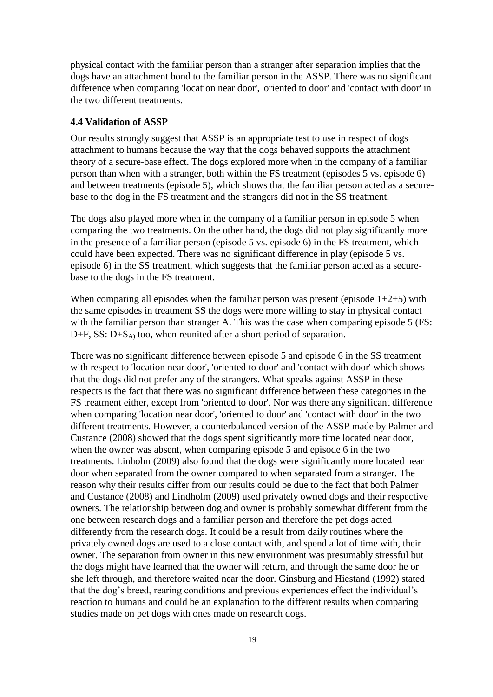physical contact with the familiar person than a stranger after separation implies that the dogs have an attachment bond to the familiar person in the ASSP. There was no significant difference when comparing 'location near door', 'oriented to door' and 'contact with door' in the two different treatments.

## <span id="page-18-0"></span>**4.4 Validation of ASSP**

Our results strongly suggest that ASSP is an appropriate test to use in respect of dogs attachment to humans because the way that the dogs behaved supports the attachment theory of a secure-base effect. The dogs explored more when in the company of a familiar person than when with a stranger, both within the FS treatment (episodes 5 vs. episode 6) and between treatments (episode 5), which shows that the familiar person acted as a securebase to the dog in the FS treatment and the strangers did not in the SS treatment.

The dogs also played more when in the company of a familiar person in episode 5 when comparing the two treatments. On the other hand, the dogs did not play significantly more in the presence of a familiar person (episode 5 vs. episode 6) in the FS treatment, which could have been expected. There was no significant difference in play (episode 5 vs. episode 6) in the SS treatment, which suggests that the familiar person acted as a securebase to the dogs in the FS treatment.

When comparing all episodes when the familiar person was present (episode  $1+2+5$ ) with the same episodes in treatment SS the dogs were more willing to stay in physical contact with the familiar person than stranger A. This was the case when comparing episode 5 (FS:  $D+F$ , SS:  $D+S_A$ ) too, when reunited after a short period of separation.

There was no significant difference between episode 5 and episode 6 in the SS treatment with respect to 'location near door', 'oriented to door' and 'contact with door' which shows that the dogs did not prefer any of the strangers. What speaks against ASSP in these respects is the fact that there was no significant difference between these categories in the FS treatment either, except from 'oriented to door'. Nor was there any significant difference when comparing 'location near door', 'oriented to door' and 'contact with door' in the two different treatments. However, a counterbalanced version of the ASSP made by Palmer and Custance (2008) showed that the dogs spent significantly more time located near door, when the owner was absent, when comparing episode 5 and episode 6 in the two treatments. Linholm (2009) also found that the dogs were significantly more located near door when separated from the owner compared to when separated from a stranger. The reason why their results differ from our results could be due to the fact that both Palmer and Custance (2008) and Lindholm (2009) used privately owned dogs and their respective owners. The relationship between dog and owner is probably somewhat different from the one between research dogs and a familiar person and therefore the pet dogs acted differently from the research dogs. It could be a result from daily routines where the privately owned dogs are used to a close contact with, and spend a lot of time with, their owner. The separation from owner in this new environment was presumably stressful but the dogs might have learned that the owner will return, and through the same door he or she left through, and therefore waited near the door. Ginsburg and Hiestand (1992) stated that the dog's breed, rearing conditions and previous experiences effect the individual's reaction to humans and could be an explanation to the different results when comparing studies made on pet dogs with ones made on research dogs.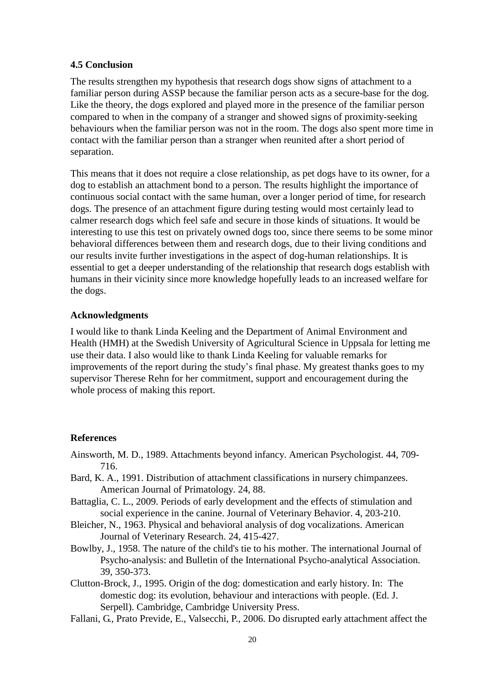#### <span id="page-19-0"></span>**4.5 Conclusion**

The results strengthen my hypothesis that research dogs show signs of attachment to a familiar person during ASSP because the familiar person acts as a secure-base for the dog. Like the theory, the dogs explored and played more in the presence of the familiar person compared to when in the company of a stranger and showed signs of proximity-seeking behaviours when the familiar person was not in the room. The dogs also spent more time in contact with the familiar person than a stranger when reunited after a short period of separation.

This means that it does not require a close relationship, as pet dogs have to its owner, for a dog to establish an attachment bond to a person. The results highlight the importance of continuous social contact with the same human, over a longer period of time, for research dogs. The presence of an attachment figure during testing would most certainly lead to calmer research dogs which feel safe and secure in those kinds of situations. It would be interesting to use this test on privately owned dogs too, since there seems to be some minor behavioral differences between them and research dogs, due to their living conditions and our results invite further investigations in the aspect of dog-human relationships. It is essential to get a deeper understanding of the relationship that research dogs establish with humans in their vicinity since more knowledge hopefully leads to an increased welfare for the dogs.

### <span id="page-19-1"></span>**Acknowledgments**

I would like to thank Linda Keeling and the Department of Animal Environment and Health (HMH) at the Swedish University of Agricultural Science in Uppsala for letting me use their data. I also would like to thank Linda Keeling for valuable remarks for improvements of the report during the study's final phase. My greatest thanks goes to my supervisor Therese Rehn for her commitment, support and encouragement during the whole process of making this report.

#### <span id="page-19-2"></span>**References**

- Ainsworth, M. D., 1989. Attachments beyond infancy. American Psychologist. 44, 709- 716.
- Bard, K. A., 1991. Distribution of attachment classifications in nursery chimpanzees. American Journal of Primatology. 24, 88.
- Battaglia, C. L., 2009. Periods of early development and the effects of stimulation and social experience in the canine. Journal of Veterinary Behavior. 4, 203-210.
- Bleicher, N., 1963. Physical and behavioral analysis of dog vocalizations. American Journal of Veterinary Research. 24, 415-427.
- Bowlby, J., 1958. The nature of the child's tie to his mother. The international Journal of Psycho-analysis: and Bulletin of the International Psycho-analytical Association. 39, 350-373.
- Clutton-Brock, J., 1995. Origin of the dog: domestication and early history. In: The domestic dog: its evolution, behaviour and interactions with people. (Ed. J. Serpell). Cambridge, Cambridge University Press.
- Fallani, G., Prato Previde, E., Valsecchi, P., 2006. Do disrupted early attachment affect the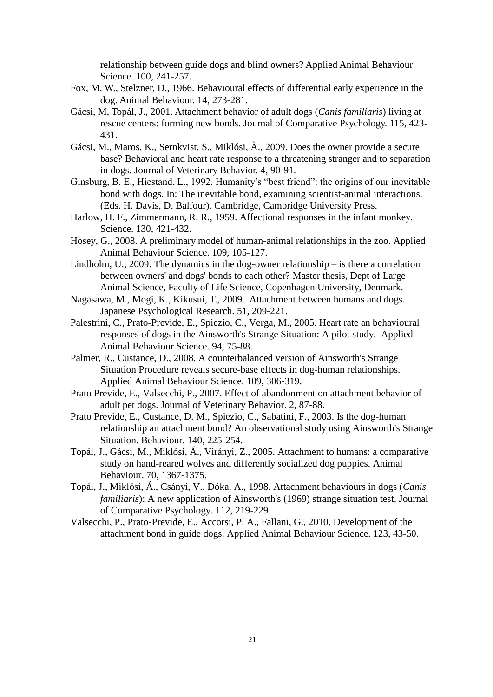relationship between guide dogs and blind owners? Applied Animal Behaviour Science. 100, 241-257.

- Fox, M. W., Stelzner, D., 1966. Behavioural effects of differential early experience in the dog. Animal Behaviour. 14, 273-281.
- Gácsi, M, Topál, J., 2001. Attachment behavior of adult dogs (*Canis familiaris*) living at rescue centers: forming new bonds. Journal of Comparative Psychology. 115, 423- 431.
- Gácsi, M., Maros, K., Sernkvist, S., Miklósi, À., 2009. Does the owner provide a secure base? Behavioral and heart rate response to a threatening stranger and to separation in dogs. Journal of Veterinary Behavior. 4, 90-91.
- Ginsburg, B. E., Hiestand, L., 1992. Humanity's "best friend": the origins of our inevitable bond with dogs. In: The inevitable bond, examining scientist-animal interactions. (Eds. H. Davis, D. Balfour). Cambridge, Cambridge University Press.
- Harlow, H. F., Zimmermann, R. R., 1959. Affectional responses in the infant monkey. Science. 130, 421-432.
- Hosey, G., 2008. A preliminary model of human-animal relationships in the zoo. Applied Animal Behaviour Science. 109, 105-127.
- Lindholm, U., 2009. The dynamics in the dog-owner relationship is there a correlation between owners' and dogs' bonds to each other? Master thesis, Dept of Large Animal Science, Faculty of Life Science, Copenhagen University, Denmark.
- Nagasawa, M., Mogi, K., Kikusui, T., 2009. Attachment between humans and dogs. Japanese Psychological Research. 51, 209-221.
- Palestrini, C., Prato-Previde, E., Spiezio, C., Verga, M., 2005. Heart rate an behavioural responses of dogs in the Ainsworth's Strange Situation: A pilot study. Applied Animal Behaviour Science. 94, 75-88.
- Palmer, R., Custance, D., 2008. A counterbalanced version of Ainsworth's Strange Situation Procedure reveals secure-base effects in dog-human relationships. Applied Animal Behaviour Science. 109, 306-319.
- Prato Previde, E., Valsecchi, P., 2007. Effect of abandonment on attachment behavior of adult pet dogs. Journal of Veterinary Behavior. 2, 87-88.
- Prato Previde, E., Custance, D. M., Spiezio, C., Sabatini, F., 2003. Is the dog-human relationship an attachment bond? An observational study using Ainsworth's Strange Situation. Behaviour. 140, 225-254.
- Topál, J., Gácsi, M., Miklósi, Á., Virányi, Z., 2005. Attachment to humans: a comparative study on hand-reared wolves and differently socialized dog puppies. Animal Behaviour. 70, 1367-1375.
- Topál, J., Miklósi, Á., Csányi, V., Dóka, A., 1998. Attachment behaviours in dogs (*Canis familiaris*): A new application of Ainsworth's (1969) strange situation test. Journal of Comparative Psychology. 112, 219-229.
- Valsecchi, P., Prato-Previde, E., Accorsi, P. A., Fallani, G., 2010. Development of the attachment bond in guide dogs. Applied Animal Behaviour Science. 123, 43-50.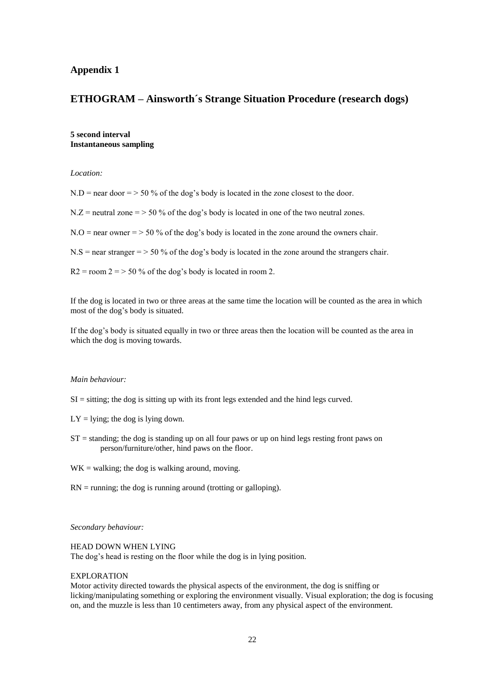#### **Appendix 1**

## **ETHOGRAM – Ainsworth´s Strange Situation Procedure (research dogs)**

**5 second interval Instantaneous sampling**

*Location:* 

 $N.D$  = near door = > 50 % of the dog's body is located in the zone closest to the door.

 $N.Z =$  neutral zone = > 50 % of the dog's body is located in one of the two neutral zones.

 $N.O =$  near owner = > 50 % of the dog's body is located in the zone around the owners chair.

 $N.S$  = near stranger = > 50 % of the dog's body is located in the zone around the strangers chair.

 $R2 =$ room  $2 =$  > 50 % of the dog's body is located in room 2.

If the dog is located in two or three areas at the same time the location will be counted as the area in which most of the dog's body is situated.

If the dog's body is situated equally in two or three areas then the location will be counted as the area in which the dog is moving towards.

#### *Main behaviour:*

- $SI =$  sitting; the dog is sitting up with its front legs extended and the hind legs curved.
- $LY =$  lying; the dog is lying down.
- $ST =$  standing; the dog is standing up on all four paws or up on hind legs resting front paws on person/furniture/other, hind paws on the floor.
- $WK = walking;$  the dog is walking around, moving.
- $RN =$  running; the dog is running around (trotting or galloping).

*Secondary behaviour:*

#### HEAD DOWN WHEN LYING

The dog's head is resting on the floor while the dog is in lying position.

#### EXPLORATION

Motor activity directed towards the physical aspects of the environment, the dog is sniffing or licking/manipulating something or exploring the environment visually. Visual exploration; the dog is focusing on, and the muzzle is less than 10 centimeters away, from any physical aspect of the environment.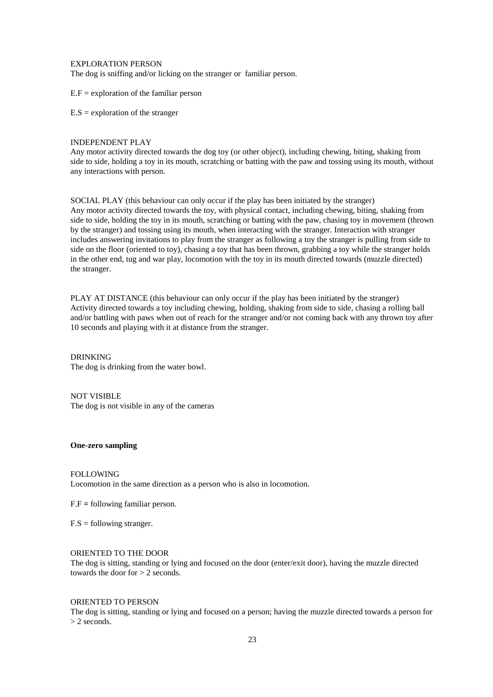EXPLORATION PERSON

The dog is sniffing and/or licking on the stranger or familiar person.

 $E.F =$  exploration of the familiar person

 $E.S =$  exploration of the stranger

#### INDEPENDENT PLAY

Any motor activity directed towards the dog toy (or other object), including chewing, biting, shaking from side to side, holding a toy in its mouth, scratching or batting with the paw and tossing using its mouth, without any interactions with person.

SOCIAL PLAY (this behaviour can only occur if the play has been initiated by the stranger) Any motor activity directed towards the toy, with physical contact, including chewing, biting, shaking from side to side, holding the toy in its mouth, scratching or batting with the paw, chasing toy in movement (thrown by the stranger) and tossing using its mouth, when interacting with the stranger. Interaction with stranger includes answering invitations to play from the stranger as following a toy the stranger is pulling from side to side on the floor (oriented to toy), chasing a toy that has been thrown, grabbing a toy while the stranger holds in the other end, tug and war play, locomotion with the toy in its mouth directed towards (muzzle directed) the stranger.

PLAY AT DISTANCE (this behaviour can only occur if the play has been initiated by the stranger) Activity directed towards a toy including chewing, holding, shaking from side to side, chasing a rolling ball and/or battling with paws when out of reach for the stranger and/or not coming back with any thrown toy after 10 seconds and playing with it at distance from the stranger.

DRINKING The dog is drinking from the water bowl.

NOT VISIBLE The dog is not visible in any of the cameras

#### **One-zero sampling**

#### FOLLOWING

Locomotion in the same direction as a person who is also in locomotion.

F.F **=** following familiar person.

 $F.S =$  following stranger.

#### ORIENTED TO THE DOOR

The dog is sitting, standing or lying and focused on the door (enter/exit door), having the muzzle directed towards the door for > 2 seconds.

#### ORIENTED TO PERSON

The dog is sitting, standing or lying and focused on a person; having the muzzle directed towards a person for > 2 seconds.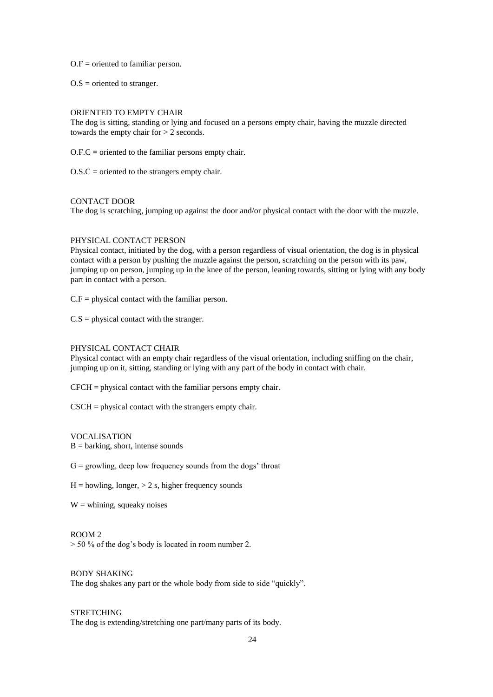O.F **=** oriented to familiar person.

 $O.S =$  oriented to stranger.

#### ORIENTED TO EMPTY CHAIR

The dog is sitting, standing or lying and focused on a persons empty chair, having the muzzle directed towards the empty chair for > 2 seconds.

O.F.C **=** oriented to the familiar persons empty chair.

 $O.S.C =$  oriented to the strangers empty chair.

#### CONTACT DOOR

The dog is scratching, jumping up against the door and/or physical contact with the door with the muzzle.

#### PHYSICAL CONTACT PERSON

Physical contact, initiated by the dog, with a person regardless of visual orientation, the dog is in physical contact with a person by pushing the muzzle against the person, scratching on the person with its paw, jumping up on person, jumping up in the knee of the person, leaning towards, sitting or lying with any body part in contact with a person.

C.F **=** physical contact with the familiar person.

 $C.S = physical contact with the strange r.$ 

#### PHYSICAL CONTACT CHAIR

Physical contact with an empty chair regardless of the visual orientation, including sniffing on the chair, jumping up on it, sitting, standing or lying with any part of the body in contact with chair.

CFCH = physical contact with the familiar persons empty chair.

CSCH = physical contact with the strangers empty chair.

#### VOCALISATION

 $B =$  barking, short, intense sounds

 $G =$  growling, deep low frequency sounds from the dogs' throat

 $H =$  howling, longer,  $> 2$  s, higher frequency sounds

 $W =$  whining, squeaky noises

#### ROOM 2

 $>$  50 % of the dog's body is located in room number 2.

#### BODY SHAKING

The dog shakes any part or the whole body from side to side "quickly".

#### **STRETCHING**

The dog is extending/stretching one part/many parts of its body.